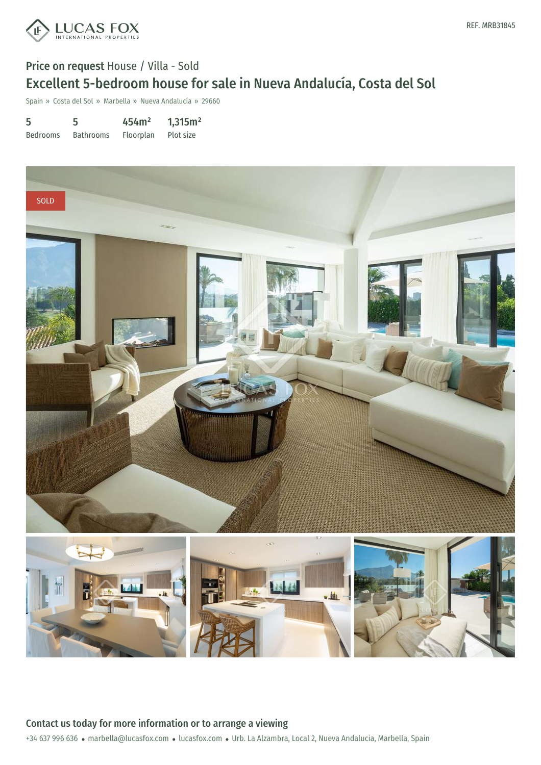

# Price on request House / Villa - Sold Excellent 5-bedroom house for sale in Nueva Andalucía, Costa del Sol

Spain » Costa del Sol » Marbella » Nueva Andalucía » 29660

| 5               | 5                | 454m <sup>2</sup> | 1,315m <sup>2</sup> |
|-----------------|------------------|-------------------|---------------------|
| <b>Bedrooms</b> | <b>Bathrooms</b> | Floorplan         | Plot size           |



+34 637 996 636 · marbella@lucasfox.com · lucasfox.com · Urb. La Alzambra, Local 2, Nueva Andalucia, Marbella, Spain Contact us today for more information or to arrange a viewing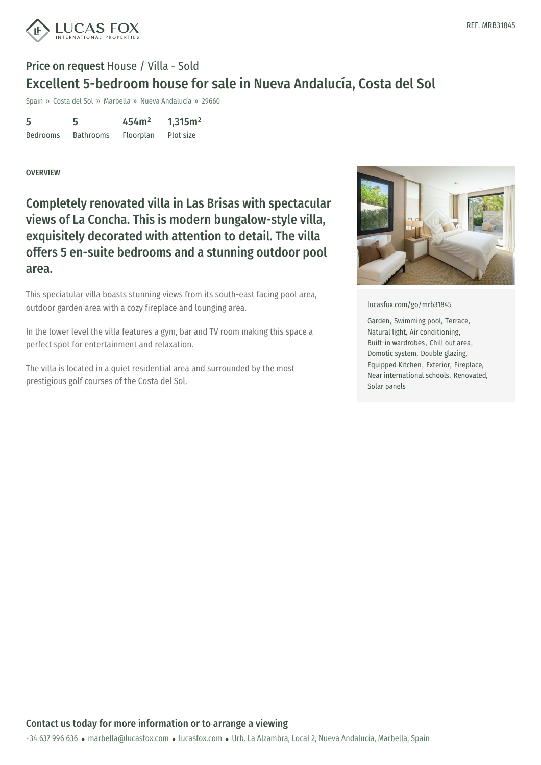

# Price on request House / Villa - Sold Excellent 5-bedroom house for sale in Nueva Andalucía, Costa del Sol

Spain » Costa del Sol » Marbella » Nueva Andalucía » 29660

| 5               | 5                | 454m <sup>2</sup> | 1,315m <sup>2</sup> |
|-----------------|------------------|-------------------|---------------------|
| <b>Bedrooms</b> | <b>Bathrooms</b> | Floorplan         | Plot size           |

#### **OVERVIEW**

Completely renovated villa in Las Brisas with spectacular views of La Concha. This is modern bungalow-style villa, exquisitely decorated with attention to detail. The villa offers 5 en-suite bedrooms and a stunning outdoor pool area.

This speciatular villa boasts stunning views from its south-east facing pool area, outdoor garden area with a cozy fireplace and lounging area.

In the lower level the villa features a gym, bar and TV room making this space a perfect spot for entertainment and relaxation.

The villa is located in a quiet residential area and surrounded by the most prestigious golf courses of the Costa del Sol.



[lucasfox.com/go/mrb31845](https://www.lucasfox.com/go/mrb31845)

Garden, Swimming pool, Terrace, Natural light, Air conditioning, Built-in wardrobes, Chill out area, Domotic system, Double glazing, Equipped Kitchen, Exterior, Fireplace, Near international schools, Renovated, Solar panels